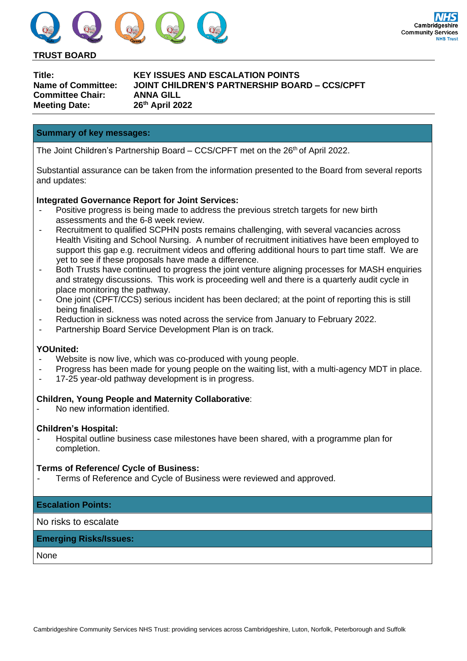

**TRUST BOARD**

| Title:                    |
|---------------------------|
| <b>Name of Committee:</b> |
| Committee Chair:          |
| <b>Meeting Date:</b>      |

**Title: KEY ISSUES AND ESCALATION POINTS Name of Committee: JOINT CHILDREN'S PARTNERSHIP BOARD – CCS/CPFT Committee Chair: ANNA GILL Meeting Date: 26th April 2022**

## **Summary of key messages:**

The Joint Children's Partnership Board – CCS/CPFT met on the 26<sup>th</sup> of April 2022.

Substantial assurance can be taken from the information presented to the Board from several reports and updates:

## **Integrated Governance Report for Joint Services:**

- Positive progress is being made to address the previous stretch targets for new birth assessments and the 6-8 week review.
- Recruitment to qualified SCPHN posts remains challenging, with several vacancies across Health Visiting and School Nursing. A number of recruitment initiatives have been employed to support this gap e.g. recruitment videos and offering additional hours to part time staff. We are yet to see if these proposals have made a difference.
- Both Trusts have continued to progress the joint venture aligning processes for MASH enquiries and strategy discussions. This work is proceeding well and there is a quarterly audit cycle in place monitoring the pathway.
- One joint (CPFT/CCS) serious incident has been declared; at the point of reporting this is still being finalised.
- Reduction in sickness was noted across the service from January to February 2022.
- Partnership Board Service Development Plan is on track.

#### **YOUnited:**

- Website is now live, which was co-produced with young people.
- Progress has been made for young people on the waiting list, with a multi-agency MDT in place.
- 17-25 year-old pathway development is in progress.

# **Children, Young People and Maternity Collaborative**:

No new information identified.

#### **Children's Hospital:**

- Hospital outline business case milestones have been shared, with a programme plan for completion.

#### **Terms of Reference/ Cycle of Business:**

Terms of Reference and Cycle of Business were reviewed and approved.

# **Escalation Points:**

No risks to escalate

# **Emerging Risks/Issues:**

None